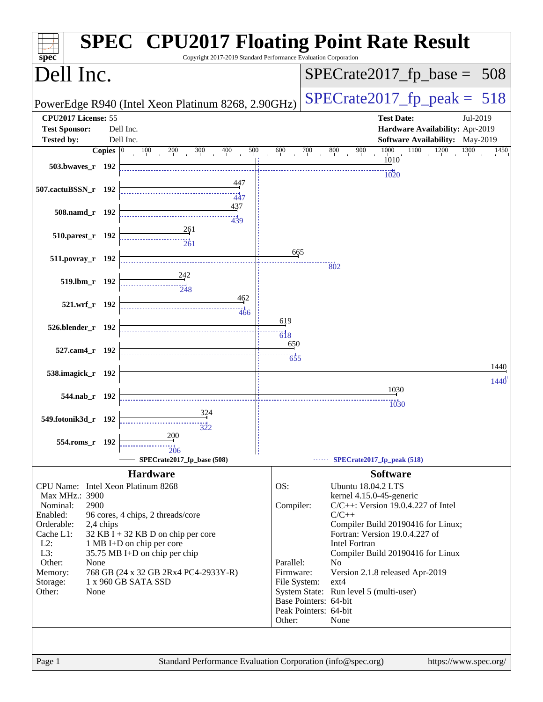| spec <sup>®</sup>    |                    | Copyright 2017-2019 Standard Performance Evaluation Corporation |                           | <b>SPEC<sup>®</sup> CPU2017 Floating Point Rate Result</b>        |
|----------------------|--------------------|-----------------------------------------------------------------|---------------------------|-------------------------------------------------------------------|
| Dell Inc.            |                    |                                                                 |                           | $SPECrate2017_fp\_base =$<br>508                                  |
|                      |                    | PowerEdge R940 (Intel Xeon Platinum 8268, 2.90GHz)              |                           | $SPECTate2017$ _fp_peak = 518                                     |
| CPU2017 License: 55  |                    |                                                                 |                           | <b>Test Date:</b><br>Jul-2019                                     |
| <b>Test Sponsor:</b> |                    | Dell Inc.                                                       |                           | Hardware Availability: Apr-2019                                   |
| <b>Tested by:</b>    |                    | Dell Inc.                                                       |                           | Software Availability: May-2019                                   |
|                      | Copies $ 0\rangle$ | 300<br>400<br>500<br>100<br>200                                 | 600<br>700                | 1000<br>1200<br>1100<br>1300<br>800<br>900<br>1450                |
| 503.bwaves_r 192     |                    |                                                                 |                           | 1010                                                              |
|                      |                    |                                                                 |                           | 1020                                                              |
| 507.cactuBSSN_r 192  |                    | <u>44</u> 7                                                     |                           |                                                                   |
|                      |                    | 447<br>437                                                      |                           |                                                                   |
| 508.namd_r 192       |                    | $\frac{11}{439}$                                                |                           |                                                                   |
|                      |                    | 261                                                             |                           |                                                                   |
| 510.parest_r 192     |                    | $\frac{1}{261}$                                                 |                           |                                                                   |
|                      |                    |                                                                 | 665                       |                                                                   |
| 511.povray_r 192     |                    |                                                                 |                           | 802                                                               |
|                      |                    | <u>242</u>                                                      |                           |                                                                   |
|                      | 519.lbm_r 192      | $\frac{1}{248}$                                                 |                           |                                                                   |
|                      |                    | 462                                                             |                           |                                                                   |
|                      | 521.wrf_r 192      | 466                                                             |                           |                                                                   |
|                      |                    |                                                                 | 619                       |                                                                   |
| 526.blender_r 192    |                    |                                                                 | $\dddot{6}$ $\dddot{1}$ 8 |                                                                   |
|                      |                    |                                                                 | 650                       |                                                                   |
| 527.cam4_r 192       |                    |                                                                 | 655                       |                                                                   |
| 538.imagick_r 192    |                    |                                                                 |                           | 1440                                                              |
|                      |                    |                                                                 |                           | 1440                                                              |
|                      | 544.nab_r 192      |                                                                 |                           | 1030                                                              |
|                      |                    |                                                                 |                           | 1030                                                              |
| 549.fotonik3d_r 192  |                    |                                                                 |                           |                                                                   |
|                      |                    |                                                                 |                           |                                                                   |
| 554.roms_r 192       |                    | 200                                                             |                           |                                                                   |
|                      |                    | 206                                                             |                           |                                                                   |
|                      |                    | SPECrate2017_fp_base (508)                                      |                           | SPECrate2017_fp_peak (518)                                        |
|                      |                    | <b>Hardware</b>                                                 |                           | <b>Software</b>                                                   |
|                      |                    | CPU Name: Intel Xeon Platinum 8268                              | OS:                       | <b>Ubuntu 18.04.2 LTS</b>                                         |
| Max MHz.: 3900       | 2900               |                                                                 |                           | kernel 4.15.0-45-generic<br>$C/C++$ : Version 19.0.4.227 of Intel |
| Nominal:<br>Enabled: |                    | 96 cores, 4 chips, 2 threads/core                               | Compiler:                 | $C/C++$                                                           |
| Orderable:           | 2,4 chips          |                                                                 |                           | Compiler Build 20190416 for Linux;                                |
| Cache L1:            |                    | $32$ KB I + 32 KB D on chip per core                            |                           | Fortran: Version 19.0.4.227 of                                    |
| $L2$ :               |                    | 1 MB I+D on chip per core                                       |                           | <b>Intel Fortran</b>                                              |
| L3:                  |                    | 35.75 MB I+D on chip per chip                                   |                           | Compiler Build 20190416 for Linux                                 |
| Other:               | None               |                                                                 | Parallel:                 | N <sub>0</sub>                                                    |
| Memory:<br>Storage:  |                    | 768 GB (24 x 32 GB 2Rx4 PC4-2933Y-R)<br>1 x 960 GB SATA SSD     | Firmware:<br>File System: | Version 2.1.8 released Apr-2019<br>$ext{4}$                       |
| Other:               | None               |                                                                 |                           | System State: Run level 5 (multi-user)                            |
|                      |                    |                                                                 |                           | Base Pointers: 64-bit                                             |
|                      |                    |                                                                 |                           | Peak Pointers: 64-bit                                             |
|                      |                    |                                                                 | Other:                    | None                                                              |
|                      |                    |                                                                 |                           |                                                                   |
|                      |                    |                                                                 |                           |                                                                   |
| Page 1               |                    | Standard Performance Evaluation Corporation (info@spec.org)     |                           | https://www.spec.org/                                             |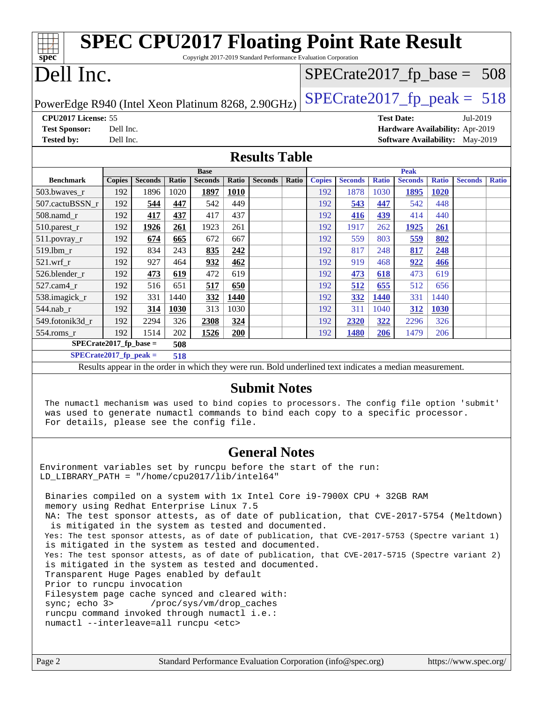| <b>SPEC CPU2017 Floating Point Rate Result</b><br>Copyright 2017-2019 Standard Performance Evaluation Corporation<br>spec <sup>®</sup>                                           |               |                |              |                                                                                                          |              |                      |              |                                 |                |              |                                        |              |                |              |
|----------------------------------------------------------------------------------------------------------------------------------------------------------------------------------|---------------|----------------|--------------|----------------------------------------------------------------------------------------------------------|--------------|----------------------|--------------|---------------------------------|----------------|--------------|----------------------------------------|--------------|----------------|--------------|
| Dell Inc.<br>$SPECrate2017_fp\_base = 508$                                                                                                                                       |               |                |              |                                                                                                          |              |                      |              |                                 |                |              |                                        |              |                |              |
| $SPECTate2017$ _fp_peak = 518<br>PowerEdge R940 (Intel Xeon Platinum 8268, 2.90GHz)                                                                                              |               |                |              |                                                                                                          |              |                      |              |                                 |                |              |                                        |              |                |              |
| CPU2017 License: 55<br><b>Test Date:</b><br>Jul-2019                                                                                                                             |               |                |              |                                                                                                          |              |                      |              |                                 |                |              |                                        |              |                |              |
| <b>Test Sponsor:</b>                                                                                                                                                             | Dell Inc.     |                |              |                                                                                                          |              |                      |              | Hardware Availability: Apr-2019 |                |              |                                        |              |                |              |
| <b>Tested by:</b>                                                                                                                                                                | Dell Inc.     |                |              |                                                                                                          |              |                      |              |                                 |                |              | <b>Software Availability:</b> May-2019 |              |                |              |
|                                                                                                                                                                                  |               |                |              |                                                                                                          |              | <b>Results Table</b> |              |                                 |                |              |                                        |              |                |              |
|                                                                                                                                                                                  |               |                |              | <b>Base</b>                                                                                              |              |                      |              |                                 |                |              | <b>Peak</b>                            |              |                |              |
| <b>Benchmark</b>                                                                                                                                                                 | <b>Copies</b> | <b>Seconds</b> | <b>Ratio</b> | <b>Seconds</b>                                                                                           | <b>Ratio</b> | <b>Seconds</b>       | <b>Ratio</b> | <b>Copies</b>                   | <b>Seconds</b> | <b>Ratio</b> | <b>Seconds</b>                         | <b>Ratio</b> | <b>Seconds</b> | <b>Ratio</b> |
| 503.bwaves_r                                                                                                                                                                     | 192           | 1896           | 1020         | 1897                                                                                                     | 1010         |                      |              | 192                             | 1878           | 1030         | 1895                                   | 1020         |                |              |
| 507.cactuBSSN_r                                                                                                                                                                  | 192           | 544            | 447          | 542                                                                                                      | 449          |                      |              | 192                             | 543            | 447          | 542                                    | 448          |                |              |
| 508.namd_r                                                                                                                                                                       | 192           | 417            | 437          | 417                                                                                                      | 437          |                      |              | 192                             | 416            | 439          | 414                                    | 440          |                |              |
| $510.parest_r$                                                                                                                                                                   | 192           | 1926           | 261          | 1923                                                                                                     | 261          |                      |              | 192                             | 1917           | 262          | 1925                                   | 261          |                |              |
| 511.povray_r                                                                                                                                                                     | 192           | 674            | 665          | 672                                                                                                      | 667          |                      |              | 192                             | 559            | 803          | 559                                    | 802          |                |              |
| 519.1bm_r                                                                                                                                                                        | 192           | 834            | 243          | 835                                                                                                      | 242          |                      |              | 192                             | 817            | 248          | 817                                    | 248          |                |              |
| 521.wrf r                                                                                                                                                                        | 192           | 927            | 464          | 932                                                                                                      | 462          |                      |              | 192                             | 919            | 468          | 922                                    | 466          |                |              |
| 526.blender_r                                                                                                                                                                    | 192           | 473            | 619          | 472                                                                                                      | 619          |                      |              | 192                             | 473            | 618          | 473                                    | 619          |                |              |
| 527.cam4_r                                                                                                                                                                       | 192           | 516            | 651          | 517                                                                                                      | 650          |                      |              | 192                             | 512            | 655          | 512                                    | 656          |                |              |
| 538.imagick_r                                                                                                                                                                    | 192           | 331            | 1440         | 332                                                                                                      | 1440         |                      |              | 192                             | 332            | 1440         | 331                                    | 1440         |                |              |
| $544$ .nab_r                                                                                                                                                                     | 192           | 314            | 1030         | 313                                                                                                      | 1030         |                      |              | 192                             | 311            | 1040         | 312                                    | 1030         |                |              |
| 549.fotonik3d_r                                                                                                                                                                  | 192           | 2294           | 326          | 2308                                                                                                     | 324          |                      |              | 192                             | 2320           | 322          | 2296                                   | 326          |                |              |
| $554$ .roms_r                                                                                                                                                                    | 192           | 1514           | 202          | 1526                                                                                                     | 200          |                      |              | 192                             | 1480           | 206          | 1479                                   | 206          |                |              |
| $SPECrate2017_fp\_base =$                                                                                                                                                        |               |                | 508          |                                                                                                          |              |                      |              |                                 |                |              |                                        |              |                |              |
| $SPECrate2017_fp\_peak =$                                                                                                                                                        |               |                | 518          |                                                                                                          |              |                      |              |                                 |                |              |                                        |              |                |              |
|                                                                                                                                                                                  |               |                |              | Results appear in the order in which they were run. Bold underlined text indicates a median measurement. |              |                      |              |                                 |                |              |                                        |              |                |              |
| The numactl mechanism was used to bind copies to processors. The config file option 'submit'<br>was used to generate numactl commands to bind each copy to a specific processor. |               |                |              |                                                                                                          |              | <b>Submit Notes</b>  |              |                                 |                |              |                                        |              |                |              |

#### **[General Notes](http://www.spec.org/auto/cpu2017/Docs/result-fields.html#GeneralNotes)**

Environment variables set by runcpu before the start of the run: LD\_LIBRARY\_PATH = "/home/cpu2017/lib/intel64"

For details, please see the config file.

 Binaries compiled on a system with 1x Intel Core i9-7900X CPU + 32GB RAM memory using Redhat Enterprise Linux 7.5 NA: The test sponsor attests, as of date of publication, that CVE-2017-5754 (Meltdown) is mitigated in the system as tested and documented. Yes: The test sponsor attests, as of date of publication, that CVE-2017-5753 (Spectre variant 1) is mitigated in the system as tested and documented. Yes: The test sponsor attests, as of date of publication, that CVE-2017-5715 (Spectre variant 2) is mitigated in the system as tested and documented. Transparent Huge Pages enabled by default Prior to runcpu invocation Filesystem page cache synced and cleared with: sync; echo 3> /proc/sys/vm/drop\_caches runcpu command invoked through numactl i.e.: numactl --interleave=all runcpu <etc>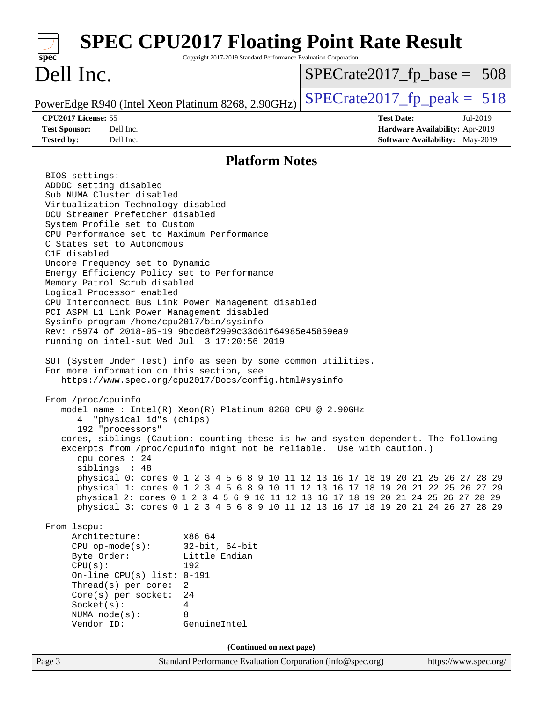| <b>SPEC CPU2017 Floating Point Rate Result</b><br>Copyright 2017-2019 Standard Performance Evaluation Corporation<br>$spec^*$                                                                                                                                                                                                                                                                                                                                                                                                                                                                                                                                                                                                                                                                                                                                                                                                                                                                                                                                                                                                                                                                                                                                                                                                                                                                                                                                                                                                                                                                                                                                                                                                                                                                                                                                                                                       |                                                                                                            |  |  |  |  |
|---------------------------------------------------------------------------------------------------------------------------------------------------------------------------------------------------------------------------------------------------------------------------------------------------------------------------------------------------------------------------------------------------------------------------------------------------------------------------------------------------------------------------------------------------------------------------------------------------------------------------------------------------------------------------------------------------------------------------------------------------------------------------------------------------------------------------------------------------------------------------------------------------------------------------------------------------------------------------------------------------------------------------------------------------------------------------------------------------------------------------------------------------------------------------------------------------------------------------------------------------------------------------------------------------------------------------------------------------------------------------------------------------------------------------------------------------------------------------------------------------------------------------------------------------------------------------------------------------------------------------------------------------------------------------------------------------------------------------------------------------------------------------------------------------------------------------------------------------------------------------------------------------------------------|------------------------------------------------------------------------------------------------------------|--|--|--|--|
| Dell Inc.                                                                                                                                                                                                                                                                                                                                                                                                                                                                                                                                                                                                                                                                                                                                                                                                                                                                                                                                                                                                                                                                                                                                                                                                                                                                                                                                                                                                                                                                                                                                                                                                                                                                                                                                                                                                                                                                                                           | $SPECTate2017fr base = 508$                                                                                |  |  |  |  |
| PowerEdge R940 (Intel Xeon Platinum 8268, 2.90GHz)                                                                                                                                                                                                                                                                                                                                                                                                                                                                                                                                                                                                                                                                                                                                                                                                                                                                                                                                                                                                                                                                                                                                                                                                                                                                                                                                                                                                                                                                                                                                                                                                                                                                                                                                                                                                                                                                  | $SPECrate2017_fp\_peak = 518$                                                                              |  |  |  |  |
| CPU2017 License: 55<br>Dell Inc.<br><b>Test Sponsor:</b><br>Dell Inc.<br><b>Tested by:</b>                                                                                                                                                                                                                                                                                                                                                                                                                                                                                                                                                                                                                                                                                                                                                                                                                                                                                                                                                                                                                                                                                                                                                                                                                                                                                                                                                                                                                                                                                                                                                                                                                                                                                                                                                                                                                          | <b>Test Date:</b><br>Jul-2019<br>Hardware Availability: Apr-2019<br><b>Software Availability:</b> May-2019 |  |  |  |  |
|                                                                                                                                                                                                                                                                                                                                                                                                                                                                                                                                                                                                                                                                                                                                                                                                                                                                                                                                                                                                                                                                                                                                                                                                                                                                                                                                                                                                                                                                                                                                                                                                                                                                                                                                                                                                                                                                                                                     |                                                                                                            |  |  |  |  |
| <b>Platform Notes</b><br>BIOS settings:<br>ADDDC setting disabled<br>Sub NUMA Cluster disabled<br>Virtualization Technology disabled<br>DCU Streamer Prefetcher disabled<br>System Profile set to Custom<br>CPU Performance set to Maximum Performance<br>C States set to Autonomous<br>C1E disabled<br>Uncore Frequency set to Dynamic<br>Energy Efficiency Policy set to Performance<br>Memory Patrol Scrub disabled<br>Logical Processor enabled<br>CPU Interconnect Bus Link Power Management disabled<br>PCI ASPM L1 Link Power Management disabled<br>Sysinfo program /home/cpu2017/bin/sysinfo<br>Rev: r5974 of 2018-05-19 9bcde8f2999c33d61f64985e45859ea9<br>running on intel-sut Wed Jul 3 17:20:56 2019<br>SUT (System Under Test) info as seen by some common utilities.<br>For more information on this section, see<br>https://www.spec.org/cpu2017/Docs/config.html#sysinfo<br>From /proc/cpuinfo<br>model name: $Intel(R)$ Xeon $(R)$ Platinum 8268 CPU @ 2.90GHz<br>"physical id"s (chips)<br>4<br>192 "processors"<br>cores, siblings (Caution: counting these is hw and system dependent. The following<br>excerpts from /proc/cpuinfo might not be reliable. Use with caution.)<br>cpu cores : 24<br>siblings : 48<br>physical 0: cores 0 1 2 3 4 5 6 8 9 10 11 12 13 16 17 18 19 20 21 25 26 27 28 29<br>physical 1: cores 0 1 2 3 4 5 6 8 9 10 11 12 13 16 17 18 19 20 21 22 25 26 27 29<br>physical 2: cores 0 1 2 3 4 5 6 9 10 11 12 13 16 17 18 19 20 21 24 25 26 27 28 29<br>physical 3: cores 0 1 2 3 4 5 6 8 9 10 11 12 13 16 17 18 19 20 21 24 26 27 28 29<br>From 1scpu:<br>Architecture:<br>x86 64<br>$32$ -bit, $64$ -bit<br>$CPU$ op-mode( $s$ ):<br>Little Endian<br>Byte Order:<br>CPU(s):<br>192<br>On-line CPU(s) list: $0-191$<br>Thread(s) per core:<br>$\overline{2}$<br>Core(s) per socket:<br>24<br>Socket(s):<br>4<br>8<br>NUMA $node(s):$<br>Vendor ID:<br>GenuineIntel |                                                                                                            |  |  |  |  |
| (Continued on next page)                                                                                                                                                                                                                                                                                                                                                                                                                                                                                                                                                                                                                                                                                                                                                                                                                                                                                                                                                                                                                                                                                                                                                                                                                                                                                                                                                                                                                                                                                                                                                                                                                                                                                                                                                                                                                                                                                            |                                                                                                            |  |  |  |  |
| Page 3<br>Standard Performance Evaluation Corporation (info@spec.org)                                                                                                                                                                                                                                                                                                                                                                                                                                                                                                                                                                                                                                                                                                                                                                                                                                                                                                                                                                                                                                                                                                                                                                                                                                                                                                                                                                                                                                                                                                                                                                                                                                                                                                                                                                                                                                               | https://www.spec.org/                                                                                      |  |  |  |  |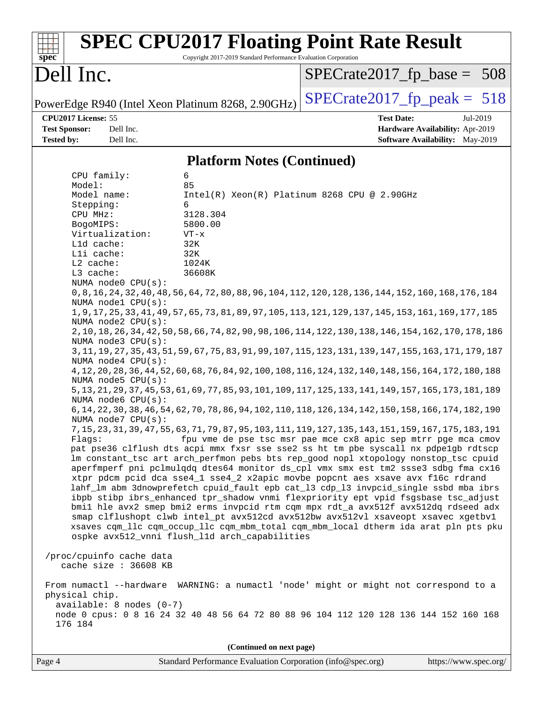| $spec^*$                                                                                                                                                                                                                                                                                                                                                                                                                                                      | Copyright 2017-2019 Standard Performance Evaluation Corporation                                                                   | <b>SPEC CPU2017 Floating Point Rate Result</b>                                                                                                                                                                                                                                                                                                                                                                                                                                                                                                                                                                                                                                                                                                                                                                                                                                                                                                                                                                                                                                                                                                                                                                                                                                                                                                                                                                                                                                                                                                                                                                                                                                                                                                                                                                                                                                                                                                                                |
|---------------------------------------------------------------------------------------------------------------------------------------------------------------------------------------------------------------------------------------------------------------------------------------------------------------------------------------------------------------------------------------------------------------------------------------------------------------|-----------------------------------------------------------------------------------------------------------------------------------|-------------------------------------------------------------------------------------------------------------------------------------------------------------------------------------------------------------------------------------------------------------------------------------------------------------------------------------------------------------------------------------------------------------------------------------------------------------------------------------------------------------------------------------------------------------------------------------------------------------------------------------------------------------------------------------------------------------------------------------------------------------------------------------------------------------------------------------------------------------------------------------------------------------------------------------------------------------------------------------------------------------------------------------------------------------------------------------------------------------------------------------------------------------------------------------------------------------------------------------------------------------------------------------------------------------------------------------------------------------------------------------------------------------------------------------------------------------------------------------------------------------------------------------------------------------------------------------------------------------------------------------------------------------------------------------------------------------------------------------------------------------------------------------------------------------------------------------------------------------------------------------------------------------------------------------------------------------------------------|
| Dell Inc.                                                                                                                                                                                                                                                                                                                                                                                                                                                     |                                                                                                                                   | $SPECrate2017_fp\_base = 508$                                                                                                                                                                                                                                                                                                                                                                                                                                                                                                                                                                                                                                                                                                                                                                                                                                                                                                                                                                                                                                                                                                                                                                                                                                                                                                                                                                                                                                                                                                                                                                                                                                                                                                                                                                                                                                                                                                                                                 |
|                                                                                                                                                                                                                                                                                                                                                                                                                                                               | PowerEdge R940 (Intel Xeon Platinum 8268, 2.90GHz)                                                                                | $SPECTate2017$ fp peak = 518                                                                                                                                                                                                                                                                                                                                                                                                                                                                                                                                                                                                                                                                                                                                                                                                                                                                                                                                                                                                                                                                                                                                                                                                                                                                                                                                                                                                                                                                                                                                                                                                                                                                                                                                                                                                                                                                                                                                                  |
| CPU2017 License: 55<br><b>Test Sponsor:</b><br>Dell Inc.<br><b>Tested by:</b><br>Dell Inc.                                                                                                                                                                                                                                                                                                                                                                    |                                                                                                                                   | <b>Test Date:</b><br>Jul-2019<br>Hardware Availability: Apr-2019<br><b>Software Availability:</b> May-2019                                                                                                                                                                                                                                                                                                                                                                                                                                                                                                                                                                                                                                                                                                                                                                                                                                                                                                                                                                                                                                                                                                                                                                                                                                                                                                                                                                                                                                                                                                                                                                                                                                                                                                                                                                                                                                                                    |
|                                                                                                                                                                                                                                                                                                                                                                                                                                                               | <b>Platform Notes (Continued)</b>                                                                                                 |                                                                                                                                                                                                                                                                                                                                                                                                                                                                                                                                                                                                                                                                                                                                                                                                                                                                                                                                                                                                                                                                                                                                                                                                                                                                                                                                                                                                                                                                                                                                                                                                                                                                                                                                                                                                                                                                                                                                                                               |
| CPU family:<br>Model:<br>Model name:<br>Stepping:<br>CPU MHz:<br>BogoMIPS:<br>Virtualization:<br>L1d cache:<br>Lli cache:<br>L2 cache:<br>L3 cache:<br>NUMA node0 CPU(s):<br>NUMA nodel CPU(s):<br>NUMA node2 CPU(s):<br>NUMA node3 CPU(s):<br>NUMA node4 CPU(s):<br>NUMA node5 CPU(s):<br>NUMA node6 CPU(s):<br>NUMA node7 CPU(s):<br>Flaqs:<br>/proc/cpuinfo cache data<br>cache size : 36608 KB<br>physical chip.<br>$available: 8 nodes (0-7)$<br>176 184 | 6<br>85<br>6<br>3128.304<br>5800.00<br>$VT - x$<br>32K<br>32K<br>1024K<br>36608K<br>ospke avx512_vnni flush_l1d arch_capabilities | Intel(R) Xeon(R) Platinum 8268 CPU @ 2.90GHz<br>0,8,16,168,176,188,176,189,176,189,104,112,120,128,120,124,152,160,168,176,184<br>1, 9, 17, 25, 33, 41, 49, 57, 65, 73, 81, 89, 97, 105, 113, 121, 129, 137, 145, 153, 161, 169, 177, 185<br>2, 10, 18, 26, 34, 42, 50, 58, 66, 74, 82, 90, 98, 106, 114, 122, 130, 138, 146, 154, 162, 170, 178, 186<br>3, 11, 19, 27, 35, 43, 51, 59, 67, 75, 83, 91, 99, 107, 115, 123, 131, 139, 147, 155, 163, 171, 179, 187<br>4, 12, 20, 28, 36, 44, 52, 60, 68, 76, 84, 92, 100, 108, 116, 124, 132, 140, 148, 156, 164, 172, 180, 188<br>5, 13, 21, 29, 37, 45, 53, 61, 69, 77, 85, 93, 101, 109, 117, 125, 133, 141, 149, 157, 165, 173, 181, 189<br>6, 14, 22, 30, 38, 46, 54, 62, 70, 78, 86, 94, 102, 110, 118, 126, 134, 142, 150, 158, 166, 174, 182, 190<br>7, 15, 23, 31, 39, 47, 55, 63, 71, 79, 87, 95, 103, 111, 119, 127, 135, 143, 151, 159, 167, 175, 183, 191<br>fpu vme de pse tsc msr pae mce cx8 apic sep mtrr pge mca cmov<br>pat pse36 clflush dts acpi mmx fxsr sse sse2 ss ht tm pbe syscall nx pdpelgb rdtscp<br>lm constant_tsc art arch_perfmon pebs bts rep_good nopl xtopology nonstop_tsc cpuid<br>aperfmperf pni pclmulqdq dtes64 monitor ds_cpl vmx smx est tm2 ssse3 sdbg fma cx16<br>xtpr pdcm pcid dca sse4_1 sse4_2 x2apic movbe popcnt aes xsave avx f16c rdrand<br>lahf_lm abm 3dnowprefetch cpuid_fault epb cat_13 cdp_13 invpcid_single ssbd mba ibrs<br>ibpb stibp ibrs_enhanced tpr_shadow vnmi flexpriority ept vpid fsgsbase tsc_adjust<br>bmil hle avx2 smep bmi2 erms invpcid rtm cqm mpx rdt_a avx512f avx512dq rdseed adx<br>smap clflushopt clwb intel_pt avx512cd avx512bw avx512vl xsaveopt xsavec xgetbvl<br>xsaves cqm_llc cqm_occup_llc cqm_mbm_total cqm_mbm_local dtherm ida arat pln pts pku<br>From numactl --hardware WARNING: a numactl 'node' might or might not correspond to a<br>node 0 cpus: 0 8 16 24 32 40 48 56 64 72 80 88 96 104 112 120 128 136 144 152 160 168 |
|                                                                                                                                                                                                                                                                                                                                                                                                                                                               | (Continued on next page)                                                                                                          |                                                                                                                                                                                                                                                                                                                                                                                                                                                                                                                                                                                                                                                                                                                                                                                                                                                                                                                                                                                                                                                                                                                                                                                                                                                                                                                                                                                                                                                                                                                                                                                                                                                                                                                                                                                                                                                                                                                                                                               |
| Page 4                                                                                                                                                                                                                                                                                                                                                                                                                                                        | Standard Performance Evaluation Corporation (info@spec.org)                                                                       | https://www.spec.org/                                                                                                                                                                                                                                                                                                                                                                                                                                                                                                                                                                                                                                                                                                                                                                                                                                                                                                                                                                                                                                                                                                                                                                                                                                                                                                                                                                                                                                                                                                                                                                                                                                                                                                                                                                                                                                                                                                                                                         |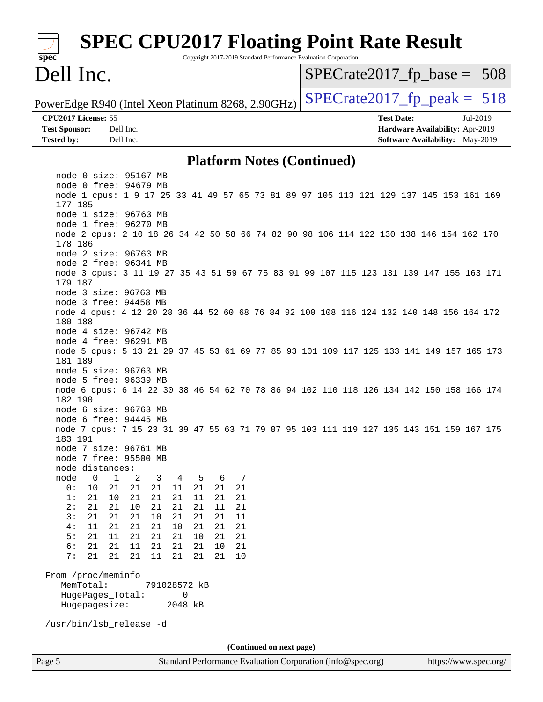| <b>SPEC CPU2017 Floating Point Rate Result</b><br>Copyright 2017-2019 Standard Performance Evaluation Corporation<br>spec <sup>®</sup> |                                 |
|----------------------------------------------------------------------------------------------------------------------------------------|---------------------------------|
| Dell Inc.                                                                                                                              | $SPECrate2017_fp\_base = 508$   |
| PowerEdge R940 (Intel Xeon Platinum 8268, 2.90GHz)                                                                                     | $SPECTate2017$ _fp_peak = 518   |
| CPU2017 License: 55                                                                                                                    | <b>Test Date:</b><br>Jul-2019   |
| Dell Inc.<br><b>Test Sponsor:</b>                                                                                                      | Hardware Availability: Apr-2019 |
| Dell Inc.<br><b>Tested by:</b>                                                                                                         | Software Availability: May-2019 |
| <b>Platform Notes (Continued)</b>                                                                                                      |                                 |
| node 0 size: 95167 MB                                                                                                                  |                                 |
| node 0 free: 94679 MB<br>node 1 cpus: 1 9 17 25 33 41 49 57 65 73 81 89 97 105 113 121 129 137 145 153 161 169<br>177 185              |                                 |
| node 1 size: 96763 MB                                                                                                                  |                                 |
| node 1 free: 96270 MB                                                                                                                  |                                 |
| node 2 cpus: 2 10 18 26 34 42 50 58 66 74 82 90 98 106 114 122 130 138 146 154 162 170<br>178 186                                      |                                 |
| node 2 size: 96763 MB<br>node 2 free: 96341 MB                                                                                         |                                 |
| node 3 cpus: 3 11 19 27 35 43 51 59 67 75 83 91 99 107 115 123 131 139 147 155 163 171<br>179 187                                      |                                 |
| node 3 size: 96763 MB                                                                                                                  |                                 |
| node 3 free: 94458 MB                                                                                                                  |                                 |
| node 4 cpus: 4 12 20 28 36 44 52 60 68 76 84 92 100 108 116 124 132 140 148 156 164 172<br>180 188                                     |                                 |
| node 4 size: 96742 MB<br>node 4 free: 96291 MB                                                                                         |                                 |
| node 5 cpus: 5 13 21 29 37 45 53 61 69 77 85 93 101 109 117 125 133 141 149 157 165 173<br>181 189                                     |                                 |
| node 5 size: 96763 MB                                                                                                                  |                                 |
| node 5 free: 96339 MB                                                                                                                  |                                 |
| node 6 cpus: 6 14 22 30 38 46 54 62 70 78 86 94 102 110 118 126 134 142 150 158 166 174<br>182 190                                     |                                 |
| node 6 size: 96763 MB<br>node 6 free: 94445 MB                                                                                         |                                 |
| node 7 cpus: 7 15 23 31 39 47 55 63 71 79 87 95 103 111 119 127 135 143 151 159 167 175<br>183 191                                     |                                 |
| node 7 size: 96761 MB                                                                                                                  |                                 |
| node 7 free: 95500 MB                                                                                                                  |                                 |
| node distances:                                                                                                                        |                                 |
| node<br>0<br>$\mathbf 1$<br>7<br>2<br>3<br>5<br>6<br>4<br>10<br>21<br>21<br>0:<br>21<br>21<br>21<br>21<br>11                           |                                 |
| 21<br>21<br>21<br>1:<br>21<br>10<br>21<br>21<br>11                                                                                     |                                 |
| 2:<br>21<br>21<br>10<br>21<br>21<br>21<br>11<br>21                                                                                     |                                 |
| 3:<br>21<br>21<br>21<br>10<br>21<br>21<br>21<br>11                                                                                     |                                 |
| 21<br>21<br>4:<br>11<br>21<br>10<br>21<br>21<br>21<br>21<br>21<br>5:<br>11<br>21<br>21<br>10<br>21<br>21                               |                                 |
| 6:<br>21<br>21<br>11<br>21<br>21<br>21<br>10<br>21                                                                                     |                                 |
| 7:<br>21<br>21<br>21<br>21<br>11<br>21<br>21<br>10                                                                                     |                                 |
| From /proc/meminfo                                                                                                                     |                                 |
| MemTotal:<br>791028572 kB                                                                                                              |                                 |
| HugePages_Total:<br>0<br>Hugepagesize:<br>2048 kB                                                                                      |                                 |
| /usr/bin/lsb_release -d                                                                                                                |                                 |
| (Continued on next page)                                                                                                               |                                 |
| Page 5<br>Standard Performance Evaluation Corporation (info@spec.org)                                                                  | https://www.spec.org/           |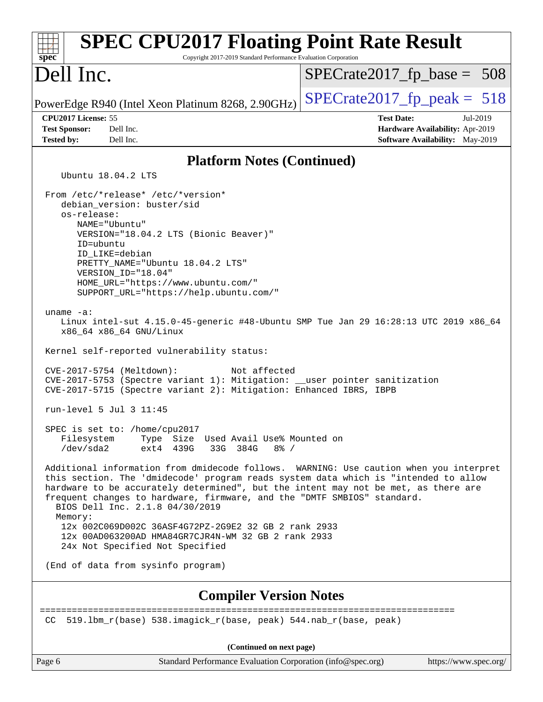| <b>SPEC CPU2017 Floating Point Rate Result</b><br>Copyright 2017-2019 Standard Performance Evaluation Corporation<br>$spec^*$                                                                                                                                                                                                                                                                                                                                                                                                                  |                                                                                                     |
|------------------------------------------------------------------------------------------------------------------------------------------------------------------------------------------------------------------------------------------------------------------------------------------------------------------------------------------------------------------------------------------------------------------------------------------------------------------------------------------------------------------------------------------------|-----------------------------------------------------------------------------------------------------|
| Dell Inc.                                                                                                                                                                                                                                                                                                                                                                                                                                                                                                                                      | $SPECrate2017_fp\_base = 508$                                                                       |
| PowerEdge R940 (Intel Xeon Platinum 8268, 2.90GHz)                                                                                                                                                                                                                                                                                                                                                                                                                                                                                             | $SPECTate2017$ _fp_peak = 518                                                                       |
| CPU2017 License: 55<br><b>Test Sponsor:</b><br>Dell Inc.<br><b>Tested by:</b><br>Dell Inc.                                                                                                                                                                                                                                                                                                                                                                                                                                                     | <b>Test Date:</b><br>Jul-2019<br>Hardware Availability: Apr-2019<br>Software Availability: May-2019 |
| <b>Platform Notes (Continued)</b>                                                                                                                                                                                                                                                                                                                                                                                                                                                                                                              |                                                                                                     |
| Ubuntu 18.04.2 LTS                                                                                                                                                                                                                                                                                                                                                                                                                                                                                                                             |                                                                                                     |
| From /etc/*release* /etc/*version*<br>debian_version: buster/sid<br>os-release:<br>NAME="Ubuntu"<br>VERSION="18.04.2 LTS (Bionic Beaver)"<br>ID=ubuntu<br>ID_LIKE=debian<br>PRETTY NAME="Ubuntu 18.04.2 LTS"<br>VERSION_ID="18.04"<br>HOME_URL="https://www.ubuntu.com/"<br>SUPPORT_URL="https://help.ubuntu.com/"                                                                                                                                                                                                                             |                                                                                                     |
| uname $-a$ :<br>Linux intel-sut 4.15.0-45-generic #48-Ubuntu SMP Tue Jan 29 16:28:13 UTC 2019 x86_64<br>x86_64 x86_64 GNU/Linux                                                                                                                                                                                                                                                                                                                                                                                                                |                                                                                                     |
| Kernel self-reported vulnerability status:                                                                                                                                                                                                                                                                                                                                                                                                                                                                                                     |                                                                                                     |
| CVE-2017-5754 (Meltdown):<br>Not affected<br>CVE-2017-5753 (Spectre variant 1): Mitigation: __user pointer sanitization<br>CVE-2017-5715 (Spectre variant 2): Mitigation: Enhanced IBRS, IBPB                                                                                                                                                                                                                                                                                                                                                  |                                                                                                     |
| run-level 5 Jul 3 11:45                                                                                                                                                                                                                                                                                                                                                                                                                                                                                                                        |                                                                                                     |
| SPEC is set to: /home/cpu2017<br>Type Size Used Avail Use% Mounted on<br>Filesystem<br>33G 384G<br>/dev/sda2<br>ext4<br>439G<br>$8\frac{6}{6}$ /                                                                                                                                                                                                                                                                                                                                                                                               |                                                                                                     |
| Additional information from dmidecode follows. WARNING: Use caution when you interpret<br>this section. The 'dmidecode' program reads system data which is "intended to allow<br>hardware to be accurately determined", but the intent may not be met, as there are<br>frequent changes to hardware, firmware, and the "DMTF SMBIOS" standard.<br>BIOS Dell Inc. 2.1.8 04/30/2019<br>Memory:<br>12x 002C069D002C 36ASF4G72PZ-2G9E2 32 GB 2 rank 2933<br>12x 00AD063200AD HMA84GR7CJR4N-WM 32 GB 2 rank 2933<br>24x Not Specified Not Specified |                                                                                                     |
| (End of data from sysinfo program)                                                                                                                                                                                                                                                                                                                                                                                                                                                                                                             |                                                                                                     |
| <b>Compiler Version Notes</b>                                                                                                                                                                                                                                                                                                                                                                                                                                                                                                                  |                                                                                                     |
| 519.1bm_r(base) 538.imagick_r(base, peak) 544.nab_r(base, peak)<br>CC                                                                                                                                                                                                                                                                                                                                                                                                                                                                          |                                                                                                     |
| (Continued on next page)                                                                                                                                                                                                                                                                                                                                                                                                                                                                                                                       |                                                                                                     |
| Standard Performance Evaluation Corporation (info@spec.org)<br>Page 6                                                                                                                                                                                                                                                                                                                                                                                                                                                                          | https://www.spec.org/                                                                               |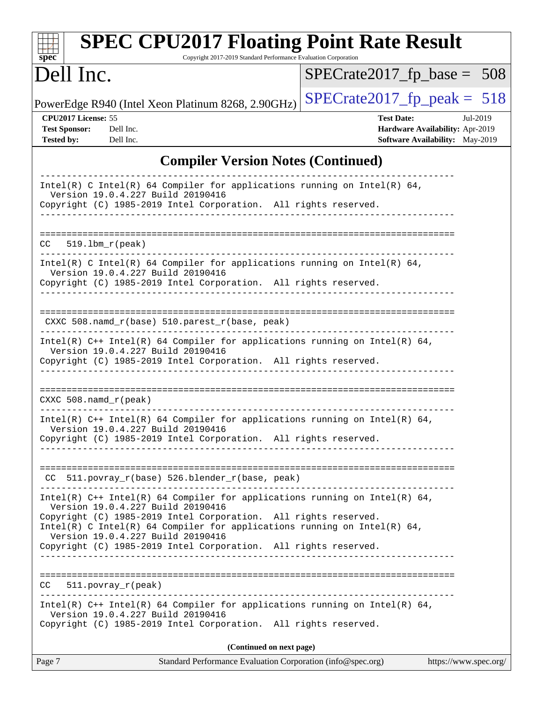| <b>SPEC CPU2017 Floating Point Rate Result</b><br>spec<br>Copyright 2017-2019 Standard Performance Evaluation Corporation                                                                                                                                                                                                                                                  |                                                                                                            |  |  |  |  |
|----------------------------------------------------------------------------------------------------------------------------------------------------------------------------------------------------------------------------------------------------------------------------------------------------------------------------------------------------------------------------|------------------------------------------------------------------------------------------------------------|--|--|--|--|
| Dell Inc.                                                                                                                                                                                                                                                                                                                                                                  | $SPECrate2017_fp\_base = 508$                                                                              |  |  |  |  |
| PowerEdge R940 (Intel Xeon Platinum 8268, 2.90GHz)                                                                                                                                                                                                                                                                                                                         | $SPECrate2017_fp\_peak = 518$                                                                              |  |  |  |  |
| CPU2017 License: 55<br><b>Test Sponsor:</b><br>Dell Inc.<br><b>Tested by:</b><br>Dell Inc.                                                                                                                                                                                                                                                                                 | <b>Test Date:</b><br>Jul-2019<br>Hardware Availability: Apr-2019<br><b>Software Availability:</b> May-2019 |  |  |  |  |
| <b>Compiler Version Notes (Continued)</b>                                                                                                                                                                                                                                                                                                                                  |                                                                                                            |  |  |  |  |
| Intel(R) C Intel(R) 64 Compiler for applications running on Intel(R) 64,<br>Version 19.0.4.227 Build 20190416<br>Copyright (C) 1985-2019 Intel Corporation. All rights reserved.                                                                                                                                                                                           |                                                                                                            |  |  |  |  |
| $519.1bm_r(peak)$<br>CC.                                                                                                                                                                                                                                                                                                                                                   |                                                                                                            |  |  |  |  |
| Intel(R) C Intel(R) 64 Compiler for applications running on Intel(R) 64,<br>Version 19.0.4.227 Build 20190416<br>Copyright (C) 1985-2019 Intel Corporation. All rights reserved.                                                                                                                                                                                           |                                                                                                            |  |  |  |  |
| CXXC 508.namd_r(base) 510.parest_r(base, peak)<br>Intel(R) $C++$ Intel(R) 64 Compiler for applications running on Intel(R) 64,                                                                                                                                                                                                                                             |                                                                                                            |  |  |  |  |
| Version 19.0.4.227 Build 20190416<br>Copyright (C) 1985-2019 Intel Corporation. All rights reserved.                                                                                                                                                                                                                                                                       |                                                                                                            |  |  |  |  |
| $CXXC 508.namd_r (peak)$                                                                                                                                                                                                                                                                                                                                                   |                                                                                                            |  |  |  |  |
| Intel(R) $C++$ Intel(R) 64 Compiler for applications running on Intel(R) 64,<br>Version 19.0.4.227 Build 20190416<br>Copyright (C) 1985-2019 Intel Corporation. All rights reserved.                                                                                                                                                                                       |                                                                                                            |  |  |  |  |
| CC 511.povray_r(base) 526.blender_r(base, peak)                                                                                                                                                                                                                                                                                                                            |                                                                                                            |  |  |  |  |
| Intel(R) $C++$ Intel(R) 64 Compiler for applications running on Intel(R) 64,<br>Version 19.0.4.227 Build 20190416<br>Copyright (C) 1985-2019 Intel Corporation. All rights reserved.<br>$Intel(R)$ C Intel(R) 64 Compiler for applications running on Intel(R) 64,<br>Version 19.0.4.227 Build 20190416<br>Copyright (C) 1985-2019 Intel Corporation. All rights reserved. |                                                                                                            |  |  |  |  |
| CC 511.povray_r(peak)                                                                                                                                                                                                                                                                                                                                                      |                                                                                                            |  |  |  |  |
| Intel(R) $C++$ Intel(R) 64 Compiler for applications running on Intel(R) 64,<br>Version 19.0.4.227 Build 20190416<br>Copyright (C) 1985-2019 Intel Corporation. All rights reserved.                                                                                                                                                                                       |                                                                                                            |  |  |  |  |
| (Continued on next page)                                                                                                                                                                                                                                                                                                                                                   |                                                                                                            |  |  |  |  |
| Page 7<br>Standard Performance Evaluation Corporation (info@spec.org)                                                                                                                                                                                                                                                                                                      | https://www.spec.org/                                                                                      |  |  |  |  |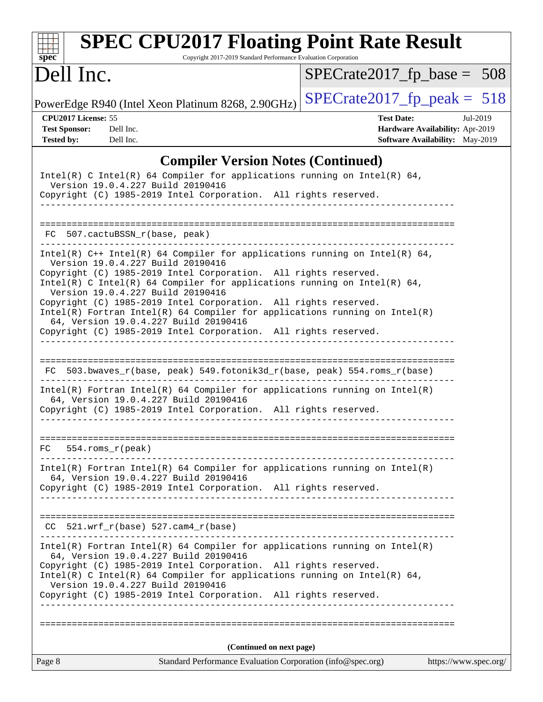| <b>SPEC CPU2017 Floating Point Rate Result</b><br>Copyright 2017-2019 Standard Performance Evaluation Corporation<br>spec <sup>®</sup>                                                                                                                                                                                                                                                                                                                                                                                                                               |                                                                  |
|----------------------------------------------------------------------------------------------------------------------------------------------------------------------------------------------------------------------------------------------------------------------------------------------------------------------------------------------------------------------------------------------------------------------------------------------------------------------------------------------------------------------------------------------------------------------|------------------------------------------------------------------|
| Dell Inc.                                                                                                                                                                                                                                                                                                                                                                                                                                                                                                                                                            | $SPECrate2017_fp\_base = 508$                                    |
| PowerEdge R940 (Intel Xeon Platinum 8268, 2.90GHz)                                                                                                                                                                                                                                                                                                                                                                                                                                                                                                                   | $SPECTate2017$ _fp_peak = 518                                    |
| CPU2017 License: 55<br>Dell Inc.<br><b>Test Sponsor:</b>                                                                                                                                                                                                                                                                                                                                                                                                                                                                                                             | <b>Test Date:</b><br>Jul-2019<br>Hardware Availability: Apr-2019 |
| <b>Tested by:</b><br>Dell Inc.                                                                                                                                                                                                                                                                                                                                                                                                                                                                                                                                       | Software Availability: May-2019                                  |
| <b>Compiler Version Notes (Continued)</b>                                                                                                                                                                                                                                                                                                                                                                                                                                                                                                                            |                                                                  |
| Intel(R) C Intel(R) 64 Compiler for applications running on Intel(R) 64,<br>Version 19.0.4.227 Build 20190416<br>Copyright (C) 1985-2019 Intel Corporation. All rights reserved.                                                                                                                                                                                                                                                                                                                                                                                     |                                                                  |
| FC 507.cactuBSSN_r(base, peak)                                                                                                                                                                                                                                                                                                                                                                                                                                                                                                                                       |                                                                  |
| Intel(R) $C++$ Intel(R) 64 Compiler for applications running on Intel(R) 64,<br>Version 19.0.4.227 Build 20190416<br>Copyright (C) 1985-2019 Intel Corporation. All rights reserved.<br>Intel(R) C Intel(R) 64 Compiler for applications running on Intel(R) 64,<br>Version 19.0.4.227 Build 20190416<br>Copyright (C) 1985-2019 Intel Corporation. All rights reserved.<br>$Intel(R)$ Fortran Intel(R) 64 Compiler for applications running on Intel(R)<br>64, Version 19.0.4.227 Build 20190416<br>Copyright (C) 1985-2019 Intel Corporation. All rights reserved. |                                                                  |
| 503.bwaves_r(base, peak) 549.fotonik3d_r(base, peak) 554.roms_r(base)<br>FC.<br>$Intel(R)$ Fortran Intel(R) 64 Compiler for applications running on Intel(R)<br>64, Version 19.0.4.227 Build 20190416<br>Copyright (C) 1985-2019 Intel Corporation. All rights reserved.                                                                                                                                                                                                                                                                                             |                                                                  |
| $554$ .roms $r(\text{peak})$<br>FC.                                                                                                                                                                                                                                                                                                                                                                                                                                                                                                                                  |                                                                  |
| $Intel(R)$ Fortran Intel(R) 64 Compiler for applications running on Intel(R)<br>64, Version 19.0.4.227 Build 20190416<br>Copyright (C) 1985-2019 Intel Corporation. All rights reserved.<br>--------------                                                                                                                                                                                                                                                                                                                                                           |                                                                  |
| $CC$ 521.wrf_r(base) 527.cam4_r(base)                                                                                                                                                                                                                                                                                                                                                                                                                                                                                                                                |                                                                  |
| $Intel(R)$ Fortran Intel(R) 64 Compiler for applications running on Intel(R)<br>64, Version 19.0.4.227 Build 20190416<br>Copyright (C) 1985-2019 Intel Corporation. All rights reserved.<br>Intel(R) C Intel(R) 64 Compiler for applications running on Intel(R) 64,<br>Version 19.0.4.227 Build 20190416<br>Copyright (C) 1985-2019 Intel Corporation. All rights reserved.                                                                                                                                                                                         |                                                                  |
|                                                                                                                                                                                                                                                                                                                                                                                                                                                                                                                                                                      |                                                                  |
| (Continued on next page)                                                                                                                                                                                                                                                                                                                                                                                                                                                                                                                                             |                                                                  |
| Page 8<br>Standard Performance Evaluation Corporation (info@spec.org)                                                                                                                                                                                                                                                                                                                                                                                                                                                                                                | https://www.spec.org/                                            |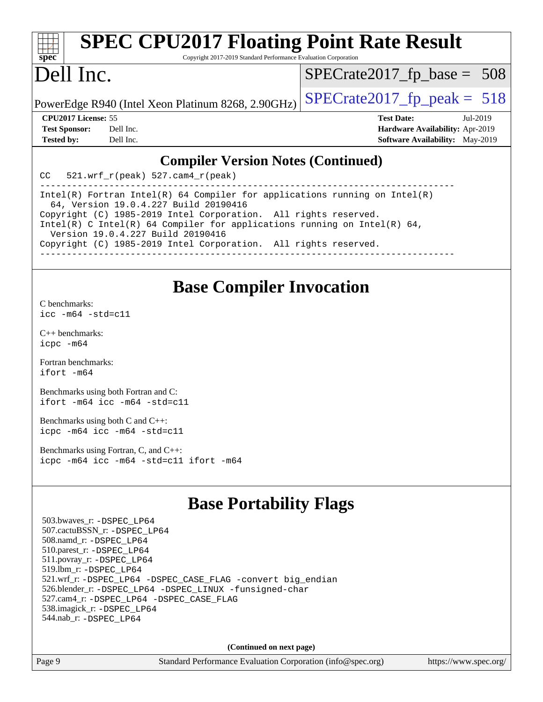| $spec^*$                                                                                              |           | <b>SPEC CPU2017 Floating Point Rate Result</b><br>Copyright 2017-2019 Standard Performance Evaluation Corporation   |  |                                        |  |  |
|-------------------------------------------------------------------------------------------------------|-----------|---------------------------------------------------------------------------------------------------------------------|--|----------------------------------------|--|--|
| Dell Inc.                                                                                             |           |                                                                                                                     |  | $SPECrate2017_fp\_base = 508$          |  |  |
|                                                                                                       |           | PowerEdge R940 (Intel Xeon Platinum 8268, 2.90GHz)                                                                  |  | $SPECrate2017fp peak = 518$            |  |  |
| CPU <sub>2017</sub> License: 55<br><b>Test Date:</b><br>Jul-2019                                      |           |                                                                                                                     |  |                                        |  |  |
| <b>Test Sponsor:</b>                                                                                  | Dell Inc. |                                                                                                                     |  | Hardware Availability: Apr-2019        |  |  |
| <b>Tested by:</b>                                                                                     | Dell Inc. |                                                                                                                     |  | <b>Software Availability:</b> May-2019 |  |  |
| <b>Compiler Version Notes (Continued)</b><br>521.wrf $r(\text{peak})$ 527.cam4 $r(\text{peak})$<br>CC |           |                                                                                                                     |  |                                        |  |  |
|                                                                                                       |           |                                                                                                                     |  |                                        |  |  |
|                                                                                                       |           | Intel(R) Fortran Intel(R) 64 Compiler for applications running on Intel(R)<br>64, Version 19.0.4.227 Build 20190416 |  |                                        |  |  |

Copyright (C) 1985-2019 Intel Corporation. All rights reserved. Intel(R) C Intel(R) 64 Compiler for applications running on Intel(R)  $64$ , Version 19.0.4.227 Build 20190416

Copyright (C) 1985-2019 Intel Corporation. All rights reserved.

------------------------------------------------------------------------------

### **[Base Compiler Invocation](http://www.spec.org/auto/cpu2017/Docs/result-fields.html#BaseCompilerInvocation)**

[C benchmarks](http://www.spec.org/auto/cpu2017/Docs/result-fields.html#Cbenchmarks):

[icc -m64 -std=c11](http://www.spec.org/cpu2017/results/res2019q3/cpu2017-20190708-15965.flags.html#user_CCbase_intel_icc_64bit_c11_33ee0cdaae7deeeab2a9725423ba97205ce30f63b9926c2519791662299b76a0318f32ddfffdc46587804de3178b4f9328c46fa7c2b0cd779d7a61945c91cd35)

[C++ benchmarks:](http://www.spec.org/auto/cpu2017/Docs/result-fields.html#CXXbenchmarks) [icpc -m64](http://www.spec.org/cpu2017/results/res2019q3/cpu2017-20190708-15965.flags.html#user_CXXbase_intel_icpc_64bit_4ecb2543ae3f1412ef961e0650ca070fec7b7afdcd6ed48761b84423119d1bf6bdf5cad15b44d48e7256388bc77273b966e5eb805aefd121eb22e9299b2ec9d9)

[Fortran benchmarks](http://www.spec.org/auto/cpu2017/Docs/result-fields.html#Fortranbenchmarks): [ifort -m64](http://www.spec.org/cpu2017/results/res2019q3/cpu2017-20190708-15965.flags.html#user_FCbase_intel_ifort_64bit_24f2bb282fbaeffd6157abe4f878425411749daecae9a33200eee2bee2fe76f3b89351d69a8130dd5949958ce389cf37ff59a95e7a40d588e8d3a57e0c3fd751)

[Benchmarks using both Fortran and C](http://www.spec.org/auto/cpu2017/Docs/result-fields.html#BenchmarksusingbothFortranandC): [ifort -m64](http://www.spec.org/cpu2017/results/res2019q3/cpu2017-20190708-15965.flags.html#user_CC_FCbase_intel_ifort_64bit_24f2bb282fbaeffd6157abe4f878425411749daecae9a33200eee2bee2fe76f3b89351d69a8130dd5949958ce389cf37ff59a95e7a40d588e8d3a57e0c3fd751) [icc -m64 -std=c11](http://www.spec.org/cpu2017/results/res2019q3/cpu2017-20190708-15965.flags.html#user_CC_FCbase_intel_icc_64bit_c11_33ee0cdaae7deeeab2a9725423ba97205ce30f63b9926c2519791662299b76a0318f32ddfffdc46587804de3178b4f9328c46fa7c2b0cd779d7a61945c91cd35)

[Benchmarks using both C and C++](http://www.spec.org/auto/cpu2017/Docs/result-fields.html#BenchmarksusingbothCandCXX): [icpc -m64](http://www.spec.org/cpu2017/results/res2019q3/cpu2017-20190708-15965.flags.html#user_CC_CXXbase_intel_icpc_64bit_4ecb2543ae3f1412ef961e0650ca070fec7b7afdcd6ed48761b84423119d1bf6bdf5cad15b44d48e7256388bc77273b966e5eb805aefd121eb22e9299b2ec9d9) [icc -m64 -std=c11](http://www.spec.org/cpu2017/results/res2019q3/cpu2017-20190708-15965.flags.html#user_CC_CXXbase_intel_icc_64bit_c11_33ee0cdaae7deeeab2a9725423ba97205ce30f63b9926c2519791662299b76a0318f32ddfffdc46587804de3178b4f9328c46fa7c2b0cd779d7a61945c91cd35)

[Benchmarks using Fortran, C, and C++:](http://www.spec.org/auto/cpu2017/Docs/result-fields.html#BenchmarksusingFortranCandCXX) [icpc -m64](http://www.spec.org/cpu2017/results/res2019q3/cpu2017-20190708-15965.flags.html#user_CC_CXX_FCbase_intel_icpc_64bit_4ecb2543ae3f1412ef961e0650ca070fec7b7afdcd6ed48761b84423119d1bf6bdf5cad15b44d48e7256388bc77273b966e5eb805aefd121eb22e9299b2ec9d9) [icc -m64 -std=c11](http://www.spec.org/cpu2017/results/res2019q3/cpu2017-20190708-15965.flags.html#user_CC_CXX_FCbase_intel_icc_64bit_c11_33ee0cdaae7deeeab2a9725423ba97205ce30f63b9926c2519791662299b76a0318f32ddfffdc46587804de3178b4f9328c46fa7c2b0cd779d7a61945c91cd35) [ifort -m64](http://www.spec.org/cpu2017/results/res2019q3/cpu2017-20190708-15965.flags.html#user_CC_CXX_FCbase_intel_ifort_64bit_24f2bb282fbaeffd6157abe4f878425411749daecae9a33200eee2bee2fe76f3b89351d69a8130dd5949958ce389cf37ff59a95e7a40d588e8d3a57e0c3fd751)

## **[Base Portability Flags](http://www.spec.org/auto/cpu2017/Docs/result-fields.html#BasePortabilityFlags)**

 503.bwaves\_r: [-DSPEC\\_LP64](http://www.spec.org/cpu2017/results/res2019q3/cpu2017-20190708-15965.flags.html#suite_basePORTABILITY503_bwaves_r_DSPEC_LP64) 507.cactuBSSN\_r: [-DSPEC\\_LP64](http://www.spec.org/cpu2017/results/res2019q3/cpu2017-20190708-15965.flags.html#suite_basePORTABILITY507_cactuBSSN_r_DSPEC_LP64) 508.namd\_r: [-DSPEC\\_LP64](http://www.spec.org/cpu2017/results/res2019q3/cpu2017-20190708-15965.flags.html#suite_basePORTABILITY508_namd_r_DSPEC_LP64) 510.parest\_r: [-DSPEC\\_LP64](http://www.spec.org/cpu2017/results/res2019q3/cpu2017-20190708-15965.flags.html#suite_basePORTABILITY510_parest_r_DSPEC_LP64) 511.povray\_r: [-DSPEC\\_LP64](http://www.spec.org/cpu2017/results/res2019q3/cpu2017-20190708-15965.flags.html#suite_basePORTABILITY511_povray_r_DSPEC_LP64) 519.lbm\_r: [-DSPEC\\_LP64](http://www.spec.org/cpu2017/results/res2019q3/cpu2017-20190708-15965.flags.html#suite_basePORTABILITY519_lbm_r_DSPEC_LP64) 521.wrf\_r: [-DSPEC\\_LP64](http://www.spec.org/cpu2017/results/res2019q3/cpu2017-20190708-15965.flags.html#suite_basePORTABILITY521_wrf_r_DSPEC_LP64) [-DSPEC\\_CASE\\_FLAG](http://www.spec.org/cpu2017/results/res2019q3/cpu2017-20190708-15965.flags.html#b521.wrf_r_baseCPORTABILITY_DSPEC_CASE_FLAG) [-convert big\\_endian](http://www.spec.org/cpu2017/results/res2019q3/cpu2017-20190708-15965.flags.html#user_baseFPORTABILITY521_wrf_r_convert_big_endian_c3194028bc08c63ac5d04de18c48ce6d347e4e562e8892b8bdbdc0214820426deb8554edfa529a3fb25a586e65a3d812c835984020483e7e73212c4d31a38223) 526.blender\_r: [-DSPEC\\_LP64](http://www.spec.org/cpu2017/results/res2019q3/cpu2017-20190708-15965.flags.html#suite_basePORTABILITY526_blender_r_DSPEC_LP64) [-DSPEC\\_LINUX](http://www.spec.org/cpu2017/results/res2019q3/cpu2017-20190708-15965.flags.html#b526.blender_r_baseCPORTABILITY_DSPEC_LINUX) [-funsigned-char](http://www.spec.org/cpu2017/results/res2019q3/cpu2017-20190708-15965.flags.html#user_baseCPORTABILITY526_blender_r_force_uchar_40c60f00ab013830e2dd6774aeded3ff59883ba5a1fc5fc14077f794d777847726e2a5858cbc7672e36e1b067e7e5c1d9a74f7176df07886a243d7cc18edfe67) 527.cam4\_r: [-DSPEC\\_LP64](http://www.spec.org/cpu2017/results/res2019q3/cpu2017-20190708-15965.flags.html#suite_basePORTABILITY527_cam4_r_DSPEC_LP64) [-DSPEC\\_CASE\\_FLAG](http://www.spec.org/cpu2017/results/res2019q3/cpu2017-20190708-15965.flags.html#b527.cam4_r_baseCPORTABILITY_DSPEC_CASE_FLAG) 538.imagick\_r: [-DSPEC\\_LP64](http://www.spec.org/cpu2017/results/res2019q3/cpu2017-20190708-15965.flags.html#suite_basePORTABILITY538_imagick_r_DSPEC_LP64) 544.nab\_r: [-DSPEC\\_LP64](http://www.spec.org/cpu2017/results/res2019q3/cpu2017-20190708-15965.flags.html#suite_basePORTABILITY544_nab_r_DSPEC_LP64)

**(Continued on next page)**

Page 9 Standard Performance Evaluation Corporation [\(info@spec.org\)](mailto:info@spec.org) <https://www.spec.org/>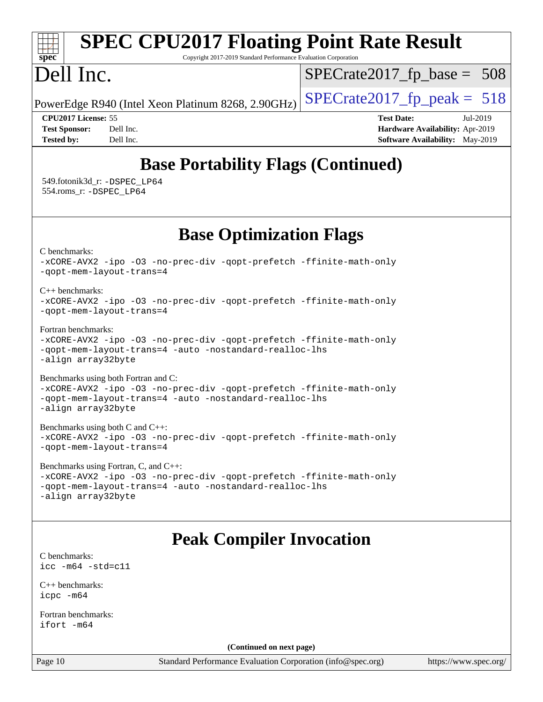#### **[spec](http://www.spec.org/) [SPEC CPU2017 Floating Point Rate Result](http://www.spec.org/auto/cpu2017/Docs/result-fields.html#SPECCPU2017FloatingPointRateResult)** Copyright 2017-2019 Standard Performance Evaluation Corporation Dell Inc. PowerEdge R940 (Intel Xeon Platinum 8268, 2.90GHz)  $\left|$  [SPECrate2017\\_fp\\_peak =](http://www.spec.org/auto/cpu2017/Docs/result-fields.html#SPECrate2017fppeak) 518 [SPECrate2017\\_fp\\_base =](http://www.spec.org/auto/cpu2017/Docs/result-fields.html#SPECrate2017fpbase) 508 **[CPU2017 License:](http://www.spec.org/auto/cpu2017/Docs/result-fields.html#CPU2017License)** 55 **[Test Date:](http://www.spec.org/auto/cpu2017/Docs/result-fields.html#TestDate)** Jul-2019 **[Test Sponsor:](http://www.spec.org/auto/cpu2017/Docs/result-fields.html#TestSponsor)** Dell Inc. **[Hardware Availability:](http://www.spec.org/auto/cpu2017/Docs/result-fields.html#HardwareAvailability)** Apr-2019 **[Tested by:](http://www.spec.org/auto/cpu2017/Docs/result-fields.html#Testedby)** Dell Inc. **[Software Availability:](http://www.spec.org/auto/cpu2017/Docs/result-fields.html#SoftwareAvailability)** May-2019 **[Base Portability Flags \(Continued\)](http://www.spec.org/auto/cpu2017/Docs/result-fields.html#BasePortabilityFlags)** 549.fotonik3d\_r: [-DSPEC\\_LP64](http://www.spec.org/cpu2017/results/res2019q3/cpu2017-20190708-15965.flags.html#suite_basePORTABILITY549_fotonik3d_r_DSPEC_LP64) 554.roms\_r: [-DSPEC\\_LP64](http://www.spec.org/cpu2017/results/res2019q3/cpu2017-20190708-15965.flags.html#suite_basePORTABILITY554_roms_r_DSPEC_LP64) **[Base Optimization Flags](http://www.spec.org/auto/cpu2017/Docs/result-fields.html#BaseOptimizationFlags)** [C benchmarks](http://www.spec.org/auto/cpu2017/Docs/result-fields.html#Cbenchmarks): [-xCORE-AVX2](http://www.spec.org/cpu2017/results/res2019q3/cpu2017-20190708-15965.flags.html#user_CCbase_f-xCORE-AVX2) [-ipo](http://www.spec.org/cpu2017/results/res2019q3/cpu2017-20190708-15965.flags.html#user_CCbase_f-ipo) [-O3](http://www.spec.org/cpu2017/results/res2019q3/cpu2017-20190708-15965.flags.html#user_CCbase_f-O3) [-no-prec-div](http://www.spec.org/cpu2017/results/res2019q3/cpu2017-20190708-15965.flags.html#user_CCbase_f-no-prec-div) [-qopt-prefetch](http://www.spec.org/cpu2017/results/res2019q3/cpu2017-20190708-15965.flags.html#user_CCbase_f-qopt-prefetch) [-ffinite-math-only](http://www.spec.org/cpu2017/results/res2019q3/cpu2017-20190708-15965.flags.html#user_CCbase_f_finite_math_only_cb91587bd2077682c4b38af759c288ed7c732db004271a9512da14a4f8007909a5f1427ecbf1a0fb78ff2a814402c6114ac565ca162485bbcae155b5e4258871) [-qopt-mem-layout-trans=4](http://www.spec.org/cpu2017/results/res2019q3/cpu2017-20190708-15965.flags.html#user_CCbase_f-qopt-mem-layout-trans_fa39e755916c150a61361b7846f310bcdf6f04e385ef281cadf3647acec3f0ae266d1a1d22d972a7087a248fd4e6ca390a3634700869573d231a252c784941a8) [C++ benchmarks:](http://www.spec.org/auto/cpu2017/Docs/result-fields.html#CXXbenchmarks) [-xCORE-AVX2](http://www.spec.org/cpu2017/results/res2019q3/cpu2017-20190708-15965.flags.html#user_CXXbase_f-xCORE-AVX2) [-ipo](http://www.spec.org/cpu2017/results/res2019q3/cpu2017-20190708-15965.flags.html#user_CXXbase_f-ipo) [-O3](http://www.spec.org/cpu2017/results/res2019q3/cpu2017-20190708-15965.flags.html#user_CXXbase_f-O3) [-no-prec-div](http://www.spec.org/cpu2017/results/res2019q3/cpu2017-20190708-15965.flags.html#user_CXXbase_f-no-prec-div) [-qopt-prefetch](http://www.spec.org/cpu2017/results/res2019q3/cpu2017-20190708-15965.flags.html#user_CXXbase_f-qopt-prefetch) [-ffinite-math-only](http://www.spec.org/cpu2017/results/res2019q3/cpu2017-20190708-15965.flags.html#user_CXXbase_f_finite_math_only_cb91587bd2077682c4b38af759c288ed7c732db004271a9512da14a4f8007909a5f1427ecbf1a0fb78ff2a814402c6114ac565ca162485bbcae155b5e4258871) [-qopt-mem-layout-trans=4](http://www.spec.org/cpu2017/results/res2019q3/cpu2017-20190708-15965.flags.html#user_CXXbase_f-qopt-mem-layout-trans_fa39e755916c150a61361b7846f310bcdf6f04e385ef281cadf3647acec3f0ae266d1a1d22d972a7087a248fd4e6ca390a3634700869573d231a252c784941a8) [Fortran benchmarks](http://www.spec.org/auto/cpu2017/Docs/result-fields.html#Fortranbenchmarks): [-xCORE-AVX2](http://www.spec.org/cpu2017/results/res2019q3/cpu2017-20190708-15965.flags.html#user_FCbase_f-xCORE-AVX2) [-ipo](http://www.spec.org/cpu2017/results/res2019q3/cpu2017-20190708-15965.flags.html#user_FCbase_f-ipo) [-O3](http://www.spec.org/cpu2017/results/res2019q3/cpu2017-20190708-15965.flags.html#user_FCbase_f-O3) [-no-prec-div](http://www.spec.org/cpu2017/results/res2019q3/cpu2017-20190708-15965.flags.html#user_FCbase_f-no-prec-div) [-qopt-prefetch](http://www.spec.org/cpu2017/results/res2019q3/cpu2017-20190708-15965.flags.html#user_FCbase_f-qopt-prefetch) [-ffinite-math-only](http://www.spec.org/cpu2017/results/res2019q3/cpu2017-20190708-15965.flags.html#user_FCbase_f_finite_math_only_cb91587bd2077682c4b38af759c288ed7c732db004271a9512da14a4f8007909a5f1427ecbf1a0fb78ff2a814402c6114ac565ca162485bbcae155b5e4258871) [-qopt-mem-layout-trans=4](http://www.spec.org/cpu2017/results/res2019q3/cpu2017-20190708-15965.flags.html#user_FCbase_f-qopt-mem-layout-trans_fa39e755916c150a61361b7846f310bcdf6f04e385ef281cadf3647acec3f0ae266d1a1d22d972a7087a248fd4e6ca390a3634700869573d231a252c784941a8) [-auto](http://www.spec.org/cpu2017/results/res2019q3/cpu2017-20190708-15965.flags.html#user_FCbase_f-auto) [-nostandard-realloc-lhs](http://www.spec.org/cpu2017/results/res2019q3/cpu2017-20190708-15965.flags.html#user_FCbase_f_2003_std_realloc_82b4557e90729c0f113870c07e44d33d6f5a304b4f63d4c15d2d0f1fab99f5daaed73bdb9275d9ae411527f28b936061aa8b9c8f2d63842963b95c9dd6426b8a) [-align array32byte](http://www.spec.org/cpu2017/results/res2019q3/cpu2017-20190708-15965.flags.html#user_FCbase_align_array32byte_b982fe038af199962ba9a80c053b8342c548c85b40b8e86eb3cc33dee0d7986a4af373ac2d51c3f7cf710a18d62fdce2948f201cd044323541f22fc0fffc51b6) [Benchmarks using both Fortran and C](http://www.spec.org/auto/cpu2017/Docs/result-fields.html#BenchmarksusingbothFortranandC): [-xCORE-AVX2](http://www.spec.org/cpu2017/results/res2019q3/cpu2017-20190708-15965.flags.html#user_CC_FCbase_f-xCORE-AVX2) [-ipo](http://www.spec.org/cpu2017/results/res2019q3/cpu2017-20190708-15965.flags.html#user_CC_FCbase_f-ipo) [-O3](http://www.spec.org/cpu2017/results/res2019q3/cpu2017-20190708-15965.flags.html#user_CC_FCbase_f-O3) [-no-prec-div](http://www.spec.org/cpu2017/results/res2019q3/cpu2017-20190708-15965.flags.html#user_CC_FCbase_f-no-prec-div) [-qopt-prefetch](http://www.spec.org/cpu2017/results/res2019q3/cpu2017-20190708-15965.flags.html#user_CC_FCbase_f-qopt-prefetch) [-ffinite-math-only](http://www.spec.org/cpu2017/results/res2019q3/cpu2017-20190708-15965.flags.html#user_CC_FCbase_f_finite_math_only_cb91587bd2077682c4b38af759c288ed7c732db004271a9512da14a4f8007909a5f1427ecbf1a0fb78ff2a814402c6114ac565ca162485bbcae155b5e4258871) [-qopt-mem-layout-trans=4](http://www.spec.org/cpu2017/results/res2019q3/cpu2017-20190708-15965.flags.html#user_CC_FCbase_f-qopt-mem-layout-trans_fa39e755916c150a61361b7846f310bcdf6f04e385ef281cadf3647acec3f0ae266d1a1d22d972a7087a248fd4e6ca390a3634700869573d231a252c784941a8) [-auto](http://www.spec.org/cpu2017/results/res2019q3/cpu2017-20190708-15965.flags.html#user_CC_FCbase_f-auto) [-nostandard-realloc-lhs](http://www.spec.org/cpu2017/results/res2019q3/cpu2017-20190708-15965.flags.html#user_CC_FCbase_f_2003_std_realloc_82b4557e90729c0f113870c07e44d33d6f5a304b4f63d4c15d2d0f1fab99f5daaed73bdb9275d9ae411527f28b936061aa8b9c8f2d63842963b95c9dd6426b8a) [-align array32byte](http://www.spec.org/cpu2017/results/res2019q3/cpu2017-20190708-15965.flags.html#user_CC_FCbase_align_array32byte_b982fe038af199962ba9a80c053b8342c548c85b40b8e86eb3cc33dee0d7986a4af373ac2d51c3f7cf710a18d62fdce2948f201cd044323541f22fc0fffc51b6) [Benchmarks using both C and C++](http://www.spec.org/auto/cpu2017/Docs/result-fields.html#BenchmarksusingbothCandCXX): [-xCORE-AVX2](http://www.spec.org/cpu2017/results/res2019q3/cpu2017-20190708-15965.flags.html#user_CC_CXXbase_f-xCORE-AVX2) [-ipo](http://www.spec.org/cpu2017/results/res2019q3/cpu2017-20190708-15965.flags.html#user_CC_CXXbase_f-ipo) [-O3](http://www.spec.org/cpu2017/results/res2019q3/cpu2017-20190708-15965.flags.html#user_CC_CXXbase_f-O3) [-no-prec-div](http://www.spec.org/cpu2017/results/res2019q3/cpu2017-20190708-15965.flags.html#user_CC_CXXbase_f-no-prec-div) [-qopt-prefetch](http://www.spec.org/cpu2017/results/res2019q3/cpu2017-20190708-15965.flags.html#user_CC_CXXbase_f-qopt-prefetch) [-ffinite-math-only](http://www.spec.org/cpu2017/results/res2019q3/cpu2017-20190708-15965.flags.html#user_CC_CXXbase_f_finite_math_only_cb91587bd2077682c4b38af759c288ed7c732db004271a9512da14a4f8007909a5f1427ecbf1a0fb78ff2a814402c6114ac565ca162485bbcae155b5e4258871) [-qopt-mem-layout-trans=4](http://www.spec.org/cpu2017/results/res2019q3/cpu2017-20190708-15965.flags.html#user_CC_CXXbase_f-qopt-mem-layout-trans_fa39e755916c150a61361b7846f310bcdf6f04e385ef281cadf3647acec3f0ae266d1a1d22d972a7087a248fd4e6ca390a3634700869573d231a252c784941a8) [Benchmarks using Fortran, C, and C++:](http://www.spec.org/auto/cpu2017/Docs/result-fields.html#BenchmarksusingFortranCandCXX) [-xCORE-AVX2](http://www.spec.org/cpu2017/results/res2019q3/cpu2017-20190708-15965.flags.html#user_CC_CXX_FCbase_f-xCORE-AVX2) [-ipo](http://www.spec.org/cpu2017/results/res2019q3/cpu2017-20190708-15965.flags.html#user_CC_CXX_FCbase_f-ipo) [-O3](http://www.spec.org/cpu2017/results/res2019q3/cpu2017-20190708-15965.flags.html#user_CC_CXX_FCbase_f-O3) [-no-prec-div](http://www.spec.org/cpu2017/results/res2019q3/cpu2017-20190708-15965.flags.html#user_CC_CXX_FCbase_f-no-prec-div) [-qopt-prefetch](http://www.spec.org/cpu2017/results/res2019q3/cpu2017-20190708-15965.flags.html#user_CC_CXX_FCbase_f-qopt-prefetch) [-ffinite-math-only](http://www.spec.org/cpu2017/results/res2019q3/cpu2017-20190708-15965.flags.html#user_CC_CXX_FCbase_f_finite_math_only_cb91587bd2077682c4b38af759c288ed7c732db004271a9512da14a4f8007909a5f1427ecbf1a0fb78ff2a814402c6114ac565ca162485bbcae155b5e4258871) [-qopt-mem-layout-trans=4](http://www.spec.org/cpu2017/results/res2019q3/cpu2017-20190708-15965.flags.html#user_CC_CXX_FCbase_f-qopt-mem-layout-trans_fa39e755916c150a61361b7846f310bcdf6f04e385ef281cadf3647acec3f0ae266d1a1d22d972a7087a248fd4e6ca390a3634700869573d231a252c784941a8) [-auto](http://www.spec.org/cpu2017/results/res2019q3/cpu2017-20190708-15965.flags.html#user_CC_CXX_FCbase_f-auto) [-nostandard-realloc-lhs](http://www.spec.org/cpu2017/results/res2019q3/cpu2017-20190708-15965.flags.html#user_CC_CXX_FCbase_f_2003_std_realloc_82b4557e90729c0f113870c07e44d33d6f5a304b4f63d4c15d2d0f1fab99f5daaed73bdb9275d9ae411527f28b936061aa8b9c8f2d63842963b95c9dd6426b8a) [-align array32byte](http://www.spec.org/cpu2017/results/res2019q3/cpu2017-20190708-15965.flags.html#user_CC_CXX_FCbase_align_array32byte_b982fe038af199962ba9a80c053b8342c548c85b40b8e86eb3cc33dee0d7986a4af373ac2d51c3f7cf710a18d62fdce2948f201cd044323541f22fc0fffc51b6) **[Peak Compiler Invocation](http://www.spec.org/auto/cpu2017/Docs/result-fields.html#PeakCompilerInvocation)** [C benchmarks](http://www.spec.org/auto/cpu2017/Docs/result-fields.html#Cbenchmarks): [icc -m64 -std=c11](http://www.spec.org/cpu2017/results/res2019q3/cpu2017-20190708-15965.flags.html#user_CCpeak_intel_icc_64bit_c11_33ee0cdaae7deeeab2a9725423ba97205ce30f63b9926c2519791662299b76a0318f32ddfffdc46587804de3178b4f9328c46fa7c2b0cd779d7a61945c91cd35) [C++ benchmarks:](http://www.spec.org/auto/cpu2017/Docs/result-fields.html#CXXbenchmarks) [icpc -m64](http://www.spec.org/cpu2017/results/res2019q3/cpu2017-20190708-15965.flags.html#user_CXXpeak_intel_icpc_64bit_4ecb2543ae3f1412ef961e0650ca070fec7b7afdcd6ed48761b84423119d1bf6bdf5cad15b44d48e7256388bc77273b966e5eb805aefd121eb22e9299b2ec9d9) [Fortran benchmarks](http://www.spec.org/auto/cpu2017/Docs/result-fields.html#Fortranbenchmarks): [ifort -m64](http://www.spec.org/cpu2017/results/res2019q3/cpu2017-20190708-15965.flags.html#user_FCpeak_intel_ifort_64bit_24f2bb282fbaeffd6157abe4f878425411749daecae9a33200eee2bee2fe76f3b89351d69a8130dd5949958ce389cf37ff59a95e7a40d588e8d3a57e0c3fd751) **(Continued on next page)**

Page 10 Standard Performance Evaluation Corporation [\(info@spec.org\)](mailto:info@spec.org) <https://www.spec.org/>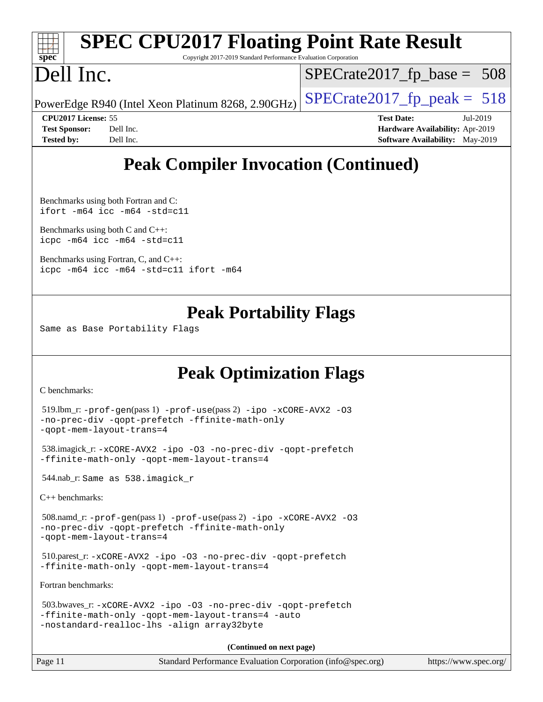|                      |                                                    |                                                                 | <b>SPEC CPU2017 Floating Point Rate Result</b> |  |
|----------------------|----------------------------------------------------|-----------------------------------------------------------------|------------------------------------------------|--|
| $spec*$              |                                                    | Copyright 2017-2019 Standard Performance Evaluation Corporation |                                                |  |
| Dell Inc.            |                                                    |                                                                 | $SPECrate2017_fp\_base = 508$                  |  |
|                      | PowerEdge R940 (Intel Xeon Platinum 8268, 2.90GHz) |                                                                 | $SPECrate2017_fp\_peak = 518$                  |  |
|                      | <b>CPU2017 License: 55</b>                         |                                                                 | <b>Test Date:</b><br>Jul-2019                  |  |
| <b>Test Sponsor:</b> | Dell Inc.                                          |                                                                 | Hardware Availability: Apr-2019                |  |
| <b>Tested by:</b>    | Dell Inc.                                          |                                                                 | <b>Software Availability:</b> May-2019         |  |

# **[Peak Compiler Invocation \(Continued\)](http://www.spec.org/auto/cpu2017/Docs/result-fields.html#PeakCompilerInvocation)**

[Benchmarks using both Fortran and C](http://www.spec.org/auto/cpu2017/Docs/result-fields.html#BenchmarksusingbothFortranandC): [ifort -m64](http://www.spec.org/cpu2017/results/res2019q3/cpu2017-20190708-15965.flags.html#user_CC_FCpeak_intel_ifort_64bit_24f2bb282fbaeffd6157abe4f878425411749daecae9a33200eee2bee2fe76f3b89351d69a8130dd5949958ce389cf37ff59a95e7a40d588e8d3a57e0c3fd751) [icc -m64 -std=c11](http://www.spec.org/cpu2017/results/res2019q3/cpu2017-20190708-15965.flags.html#user_CC_FCpeak_intel_icc_64bit_c11_33ee0cdaae7deeeab2a9725423ba97205ce30f63b9926c2519791662299b76a0318f32ddfffdc46587804de3178b4f9328c46fa7c2b0cd779d7a61945c91cd35)

[Benchmarks using both C and C++](http://www.spec.org/auto/cpu2017/Docs/result-fields.html#BenchmarksusingbothCandCXX): [icpc -m64](http://www.spec.org/cpu2017/results/res2019q3/cpu2017-20190708-15965.flags.html#user_CC_CXXpeak_intel_icpc_64bit_4ecb2543ae3f1412ef961e0650ca070fec7b7afdcd6ed48761b84423119d1bf6bdf5cad15b44d48e7256388bc77273b966e5eb805aefd121eb22e9299b2ec9d9) [icc -m64 -std=c11](http://www.spec.org/cpu2017/results/res2019q3/cpu2017-20190708-15965.flags.html#user_CC_CXXpeak_intel_icc_64bit_c11_33ee0cdaae7deeeab2a9725423ba97205ce30f63b9926c2519791662299b76a0318f32ddfffdc46587804de3178b4f9328c46fa7c2b0cd779d7a61945c91cd35)

[Benchmarks using Fortran, C, and C++:](http://www.spec.org/auto/cpu2017/Docs/result-fields.html#BenchmarksusingFortranCandCXX) [icpc -m64](http://www.spec.org/cpu2017/results/res2019q3/cpu2017-20190708-15965.flags.html#user_CC_CXX_FCpeak_intel_icpc_64bit_4ecb2543ae3f1412ef961e0650ca070fec7b7afdcd6ed48761b84423119d1bf6bdf5cad15b44d48e7256388bc77273b966e5eb805aefd121eb22e9299b2ec9d9) [icc -m64 -std=c11](http://www.spec.org/cpu2017/results/res2019q3/cpu2017-20190708-15965.flags.html#user_CC_CXX_FCpeak_intel_icc_64bit_c11_33ee0cdaae7deeeab2a9725423ba97205ce30f63b9926c2519791662299b76a0318f32ddfffdc46587804de3178b4f9328c46fa7c2b0cd779d7a61945c91cd35) [ifort -m64](http://www.spec.org/cpu2017/results/res2019q3/cpu2017-20190708-15965.flags.html#user_CC_CXX_FCpeak_intel_ifort_64bit_24f2bb282fbaeffd6157abe4f878425411749daecae9a33200eee2bee2fe76f3b89351d69a8130dd5949958ce389cf37ff59a95e7a40d588e8d3a57e0c3fd751)

### **[Peak Portability Flags](http://www.spec.org/auto/cpu2017/Docs/result-fields.html#PeakPortabilityFlags)**

Same as Base Portability Flags

# **[Peak Optimization Flags](http://www.spec.org/auto/cpu2017/Docs/result-fields.html#PeakOptimizationFlags)**

[C benchmarks](http://www.spec.org/auto/cpu2017/Docs/result-fields.html#Cbenchmarks):

```
 519.lbm_r: -prof-gen(pass 1) -prof-use(pass 2) -ipo -xCORE-AVX2 -O3
-no-prec-div -qopt-prefetch -ffinite-math-only
-qopt-mem-layout-trans=4
 538.imagick_r: -xCORE-AVX2 -ipo -O3 -no-prec-div -qopt-prefetch
-ffinite-math-only -qopt-mem-layout-trans=4
 544.nab_r: Same as 538.imagick_r
C++ benchmarks: 
 508.namd_r: -prof-gen(pass 1) -prof-use(pass 2) -ipo -xCORE-AVX2 -O3
-no-prec-div -qopt-prefetch -ffinite-math-only
-qopt-mem-layout-trans=4
 510.parest_r: -xCORE-AVX2 -ipo -O3 -no-prec-div -qopt-prefetch
-ffinite-math-only -qopt-mem-layout-trans=4
Fortran benchmarks: 
 503.bwaves_r: -xCORE-AVX2 -ipo -O3 -no-prec-div -qopt-prefetch
-ffinite-math-only -qopt-mem-layout-trans=4 -auto
-nostandard-realloc-lhs -align array32byte
```
**(Continued on next page)**